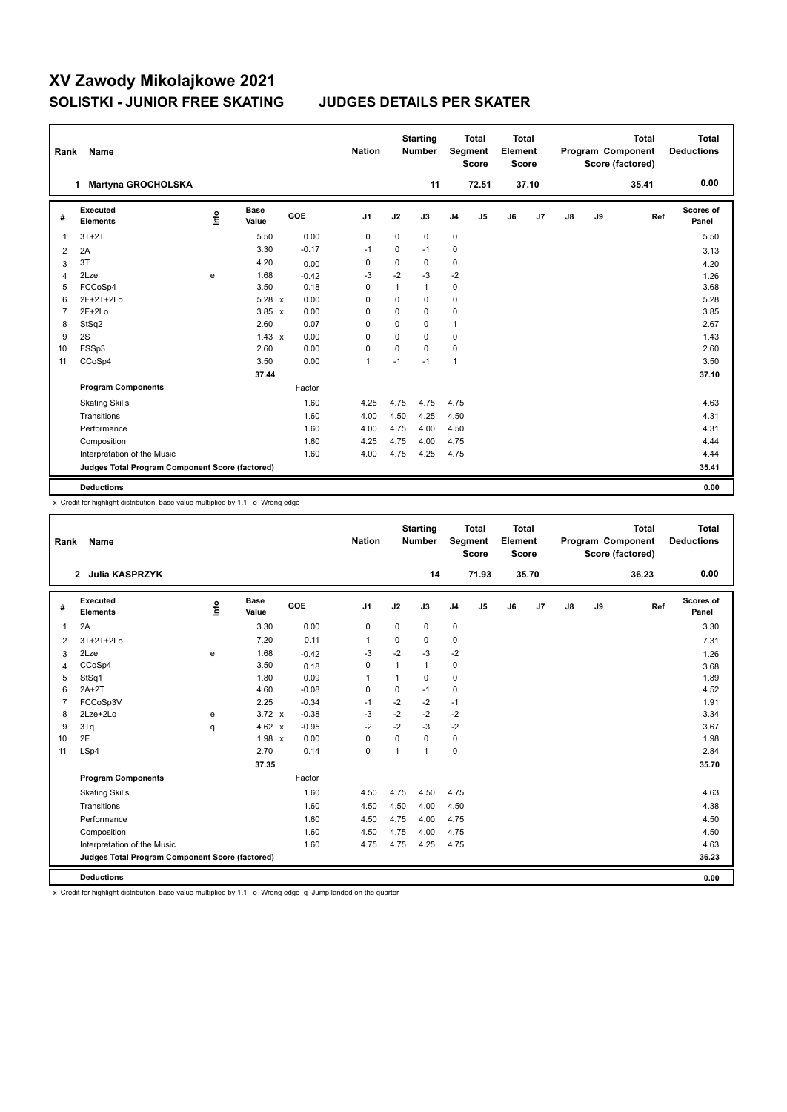| Rank           | Name                                            |      |                      |            | <b>Nation</b>  |              | <b>Starting</b><br><b>Number</b> |                | <b>Total</b><br>Segment<br><b>Score</b> | <b>Total</b><br>Element<br><b>Score</b> |       |    |    | <b>Total</b><br>Program Component<br>Score (factored) | <b>Total</b><br><b>Deductions</b> |
|----------------|-------------------------------------------------|------|----------------------|------------|----------------|--------------|----------------------------------|----------------|-----------------------------------------|-----------------------------------------|-------|----|----|-------------------------------------------------------|-----------------------------------|
|                | <b>Martyna GROCHOLSKA</b><br>1                  |      |                      |            |                |              | 11                               |                | 72.51                                   |                                         | 37.10 |    |    | 35.41                                                 | 0.00                              |
| #              | Executed<br><b>Elements</b>                     | lnfo | <b>Base</b><br>Value | <b>GOE</b> | J <sub>1</sub> | J2           | J3                               | J <sub>4</sub> | J5                                      | J6                                      | J7    | J8 | J9 | Ref                                                   | <b>Scores of</b><br>Panel         |
| 1              | $3T+2T$                                         |      | 5.50                 | 0.00       | 0              | 0            | 0                                | 0              |                                         |                                         |       |    |    |                                                       | 5.50                              |
| $\overline{2}$ | 2A                                              |      | 3.30                 | $-0.17$    | $-1$           | $\mathbf 0$  | $-1$                             | 0              |                                         |                                         |       |    |    |                                                       | 3.13                              |
| 3              | 3T                                              |      | 4.20                 | 0.00       | 0              | 0            | 0                                | 0              |                                         |                                         |       |    |    |                                                       | 4.20                              |
| 4              | 2Lze                                            | e    | 1.68                 | $-0.42$    | $-3$           | $-2$         | $-3$                             | $-2$           |                                         |                                         |       |    |    |                                                       | 1.26                              |
| 5              | FCCoSp4                                         |      | 3.50                 | 0.18       | $\Omega$       | $\mathbf{1}$ | $\mathbf{1}$                     | 0              |                                         |                                         |       |    |    |                                                       | 3.68                              |
| 6              | $2F+2T+2Lo$                                     |      | $5.28 \times$        | 0.00       | $\Omega$       | $\Omega$     | $\Omega$                         | 0              |                                         |                                         |       |    |    |                                                       | 5.28                              |
| 7              | $2F+2Lo$                                        |      | $3.85 \times$        | 0.00       | $\Omega$       | $\mathbf 0$  | $\Omega$                         | 0              |                                         |                                         |       |    |    |                                                       | 3.85                              |
| 8              | StSq2                                           |      | 2.60                 | 0.07       | 0              | 0            | 0                                | 1              |                                         |                                         |       |    |    |                                                       | 2.67                              |
| 9              | 2S                                              |      | $1.43 \times$        | 0.00       | 0              | 0            | $\Omega$                         | 0              |                                         |                                         |       |    |    |                                                       | 1.43                              |
| 10             | FSSp3                                           |      | 2.60                 | 0.00       | $\mathbf 0$    | $\mathbf 0$  | $\mathbf 0$                      | 0              |                                         |                                         |       |    |    |                                                       | 2.60                              |
| 11             | CCoSp4                                          |      | 3.50                 | 0.00       | $\mathbf{1}$   | $-1$         | $-1$                             | 1              |                                         |                                         |       |    |    |                                                       | 3.50                              |
|                |                                                 |      | 37.44                |            |                |              |                                  |                |                                         |                                         |       |    |    |                                                       | 37.10                             |
|                | <b>Program Components</b>                       |      |                      | Factor     |                |              |                                  |                |                                         |                                         |       |    |    |                                                       |                                   |
|                | <b>Skating Skills</b>                           |      |                      | 1.60       | 4.25           | 4.75         | 4.75                             | 4.75           |                                         |                                         |       |    |    |                                                       | 4.63                              |
|                | Transitions                                     |      |                      | 1.60       | 4.00           | 4.50         | 4.25                             | 4.50           |                                         |                                         |       |    |    |                                                       | 4.31                              |
|                | Performance                                     |      |                      | 1.60       | 4.00           | 4.75         | 4.00                             | 4.50           |                                         |                                         |       |    |    |                                                       | 4.31                              |
|                | Composition                                     |      |                      | 1.60       | 4.25           | 4.75         | 4.00                             | 4.75           |                                         |                                         |       |    |    |                                                       | 4.44                              |
|                | Interpretation of the Music                     |      |                      | 1.60       | 4.00           | 4.75         | 4.25                             | 4.75           |                                         |                                         |       |    |    |                                                       | 4.44                              |
|                | Judges Total Program Component Score (factored) |      |                      |            |                |              |                                  |                |                                         |                                         |       |    |    |                                                       | 35.41                             |
|                | <b>Deductions</b>                               |      |                      |            |                |              |                                  |                |                                         |                                         |       |    |    |                                                       | 0.00                              |

x Credit for highlight distribution, base value multiplied by 1.1 e Wrong edge

| Rank           | <b>Name</b>                                     |      |                      |         | <b>Nation</b>  |                | <b>Starting</b><br><b>Number</b> |                | <b>Total</b><br>Segment<br><b>Score</b> | <b>Total</b><br>Element<br><b>Score</b> |       |               |    | <b>Total</b><br>Program Component<br>Score (factored) | <b>Total</b><br><b>Deductions</b> |
|----------------|-------------------------------------------------|------|----------------------|---------|----------------|----------------|----------------------------------|----------------|-----------------------------------------|-----------------------------------------|-------|---------------|----|-------------------------------------------------------|-----------------------------------|
|                | 2 Julia KASPRZYK                                |      |                      |         |                |                | 14                               |                | 71.93                                   |                                         | 35.70 |               |    | 36.23                                                 | 0.00                              |
| #              | Executed<br><b>Elements</b>                     | Info | <b>Base</b><br>Value | GOE     | J <sub>1</sub> | J2             | J3                               | J <sub>4</sub> | J5                                      | J6                                      | J7    | $\mathsf{J}8$ | J9 | Ref                                                   | Scores of<br>Panel                |
| $\overline{1}$ | 2A                                              |      | 3.30                 | 0.00    | 0              | $\mathbf 0$    | 0                                | $\pmb{0}$      |                                         |                                         |       |               |    |                                                       | 3.30                              |
| 2              | 3T+2T+2Lo                                       |      | 7.20                 | 0.11    | $\mathbf{1}$   | 0              | 0                                | $\mathbf 0$    |                                         |                                         |       |               |    |                                                       | 7.31                              |
| 3              | 2Lze                                            | e    | 1.68                 | $-0.42$ | -3             | $-2$           | -3                               | $-2$           |                                         |                                         |       |               |    |                                                       | 1.26                              |
| 4              | CCoSp4                                          |      | 3.50                 | 0.18    | 0              |                | $\mathbf{1}$                     | $\pmb{0}$      |                                         |                                         |       |               |    |                                                       | 3.68                              |
| 5              | StSq1                                           |      | 1.80                 | 0.09    | 1              | $\mathbf{1}$   | 0                                | 0              |                                         |                                         |       |               |    |                                                       | 1.89                              |
| 6              | $2A+2T$                                         |      | 4.60                 | $-0.08$ | 0              | $\mathbf 0$    | $-1$                             | $\pmb{0}$      |                                         |                                         |       |               |    |                                                       | 4.52                              |
| $\overline{7}$ | FCCoSp3V                                        |      | 2.25                 | $-0.34$ | $-1$           | $-2$           | $-2$                             | $-1$           |                                         |                                         |       |               |    |                                                       | 1.91                              |
| 8              | 2Lze+2Lo                                        | e    | $3.72 \times$        | $-0.38$ | $-3$           | $-2$           | $-2$                             | $-2$           |                                         |                                         |       |               |    |                                                       | 3.34                              |
| 9              | 3Tq                                             | q    | 4.62 $x$             | $-0.95$ | $-2$           | $-2$           | $-3$                             | $-2$           |                                         |                                         |       |               |    |                                                       | 3.67                              |
| 10             | 2F                                              |      | 1.98 x               | 0.00    | $\mathbf 0$    | $\mathbf 0$    | 0                                | $\pmb{0}$      |                                         |                                         |       |               |    |                                                       | 1.98                              |
| 11             | LSp4                                            |      | 2.70                 | 0.14    | $\mathbf 0$    | $\overline{ }$ | $\mathbf{1}$                     | $\mathbf 0$    |                                         |                                         |       |               |    |                                                       | 2.84                              |
|                |                                                 |      | 37.35                |         |                |                |                                  |                |                                         |                                         |       |               |    |                                                       | 35.70                             |
|                | <b>Program Components</b>                       |      |                      | Factor  |                |                |                                  |                |                                         |                                         |       |               |    |                                                       |                                   |
|                | <b>Skating Skills</b>                           |      |                      | 1.60    | 4.50           | 4.75           | 4.50                             | 4.75           |                                         |                                         |       |               |    |                                                       | 4.63                              |
|                | Transitions                                     |      |                      | 1.60    | 4.50           | 4.50           | 4.00                             | 4.50           |                                         |                                         |       |               |    |                                                       | 4.38                              |
|                | Performance                                     |      |                      | 1.60    | 4.50           | 4.75           | 4.00                             | 4.75           |                                         |                                         |       |               |    |                                                       | 4.50                              |
|                | Composition                                     |      |                      | 1.60    | 4.50           | 4.75           | 4.00                             | 4.75           |                                         |                                         |       |               |    |                                                       | 4.50                              |
|                | Interpretation of the Music                     |      |                      | 1.60    | 4.75           | 4.75           | 4.25                             | 4.75           |                                         |                                         |       |               |    |                                                       | 4.63                              |
|                | Judges Total Program Component Score (factored) |      |                      |         |                |                |                                  |                |                                         |                                         |       |               |    |                                                       | 36.23                             |
|                | <b>Deductions</b>                               |      |                      |         |                |                |                                  |                |                                         |                                         |       |               |    |                                                       | 0.00                              |

x Credit for highlight distribution, base value multiplied by 1.1 e Wrong edge q Jump landed on the quarter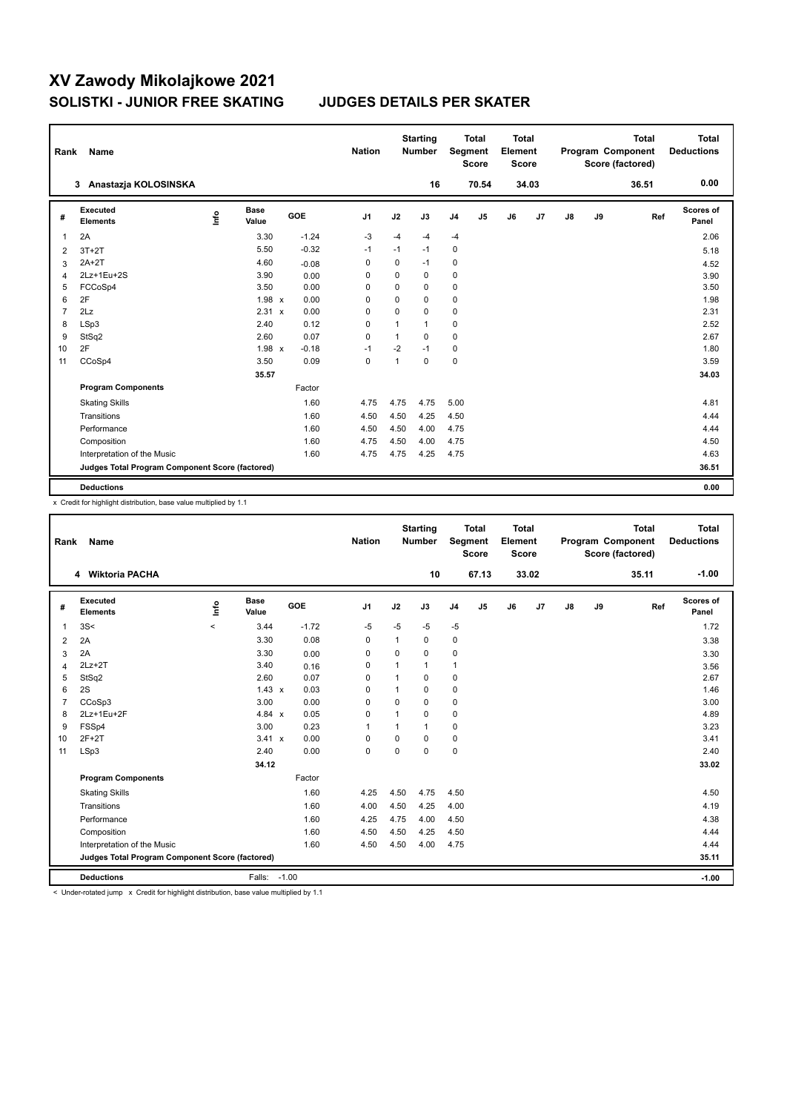| Rank           | Name                                            |      |                      |            | <b>Nation</b> |             | <b>Starting</b><br><b>Number</b> |                | <b>Total</b><br>Segment<br><b>Score</b> | <b>Total</b><br>Element<br><b>Score</b> |       |    |    | <b>Total</b><br>Program Component<br>Score (factored) | <b>Total</b><br><b>Deductions</b> |
|----------------|-------------------------------------------------|------|----------------------|------------|---------------|-------------|----------------------------------|----------------|-----------------------------------------|-----------------------------------------|-------|----|----|-------------------------------------------------------|-----------------------------------|
|                | 3 Anastazja KOLOSINSKA                          |      |                      |            |               |             | 16                               |                | 70.54                                   |                                         | 34.03 |    |    | 36.51                                                 | 0.00                              |
| #              | Executed<br><b>Elements</b>                     | lnfo | <b>Base</b><br>Value | <b>GOE</b> | J1            | J2          | J3                               | J <sub>4</sub> | J5                                      | J6                                      | J7    | J8 | J9 | Ref                                                   | Scores of<br>Panel                |
| 1              | 2A                                              |      | 3.30                 | $-1.24$    | $-3$          | $-4$        | $-4$                             | $-4$           |                                         |                                         |       |    |    |                                                       | 2.06                              |
| 2              | $3T+2T$                                         |      | 5.50                 | $-0.32$    | $-1$          | $-1$        | $-1$                             | 0              |                                         |                                         |       |    |    |                                                       | 5.18                              |
| 3              | $2A+2T$                                         |      | 4.60                 | $-0.08$    | 0             | 0           | $-1$                             | 0              |                                         |                                         |       |    |    |                                                       | 4.52                              |
| 4              | 2Lz+1Eu+2S                                      |      | 3.90                 | 0.00       | 0             | 0           | 0                                | 0              |                                         |                                         |       |    |    |                                                       | 3.90                              |
| 5              | FCCoSp4                                         |      | 3.50                 | 0.00       | 0             | 0           | 0                                | $\mathbf 0$    |                                         |                                         |       |    |    |                                                       | 3.50                              |
| 6              | 2F                                              |      | $1.98 \times$        | 0.00       | 0             | $\mathbf 0$ | 0                                | 0              |                                         |                                         |       |    |    |                                                       | 1.98                              |
| $\overline{7}$ | 2Lz                                             |      | $2.31 \times$        | 0.00       | 0             | 0           | 0                                | 0              |                                         |                                         |       |    |    |                                                       | 2.31                              |
| 8              | LSp3                                            |      | 2.40                 | 0.12       | 0             | 1           | $\mathbf{1}$                     | 0              |                                         |                                         |       |    |    |                                                       | 2.52                              |
| 9              | StSq2                                           |      | 2.60                 | 0.07       | $\mathbf 0$   | 1           | 0                                | $\mathbf 0$    |                                         |                                         |       |    |    |                                                       | 2.67                              |
| 10             | 2F                                              |      | $1.98 \times$        | $-0.18$    | -1            | $-2$        | $-1$                             | 0              |                                         |                                         |       |    |    |                                                       | 1.80                              |
| 11             | CCoSp4                                          |      | 3.50                 | 0.09       | 0             | 1           | $\mathbf 0$                      | $\pmb{0}$      |                                         |                                         |       |    |    |                                                       | 3.59                              |
|                |                                                 |      | 35.57                |            |               |             |                                  |                |                                         |                                         |       |    |    |                                                       | 34.03                             |
|                | <b>Program Components</b>                       |      |                      | Factor     |               |             |                                  |                |                                         |                                         |       |    |    |                                                       |                                   |
|                | <b>Skating Skills</b>                           |      |                      | 1.60       | 4.75          | 4.75        | 4.75                             | 5.00           |                                         |                                         |       |    |    |                                                       | 4.81                              |
|                | Transitions                                     |      |                      | 1.60       | 4.50          | 4.50        | 4.25                             | 4.50           |                                         |                                         |       |    |    |                                                       | 4.44                              |
|                | Performance                                     |      |                      | 1.60       | 4.50          | 4.50        | 4.00                             | 4.75           |                                         |                                         |       |    |    |                                                       | 4.44                              |
|                | Composition                                     |      |                      | 1.60       | 4.75          | 4.50        | 4.00                             | 4.75           |                                         |                                         |       |    |    |                                                       | 4.50                              |
|                | Interpretation of the Music                     |      |                      | 1.60       | 4.75          | 4.75        | 4.25                             | 4.75           |                                         |                                         |       |    |    |                                                       | 4.63                              |
|                | Judges Total Program Component Score (factored) |      |                      |            |               |             |                                  |                |                                         |                                         |       |    |    |                                                       | 36.51                             |
|                | <b>Deductions</b>                               |      |                      |            |               |             |                                  |                |                                         |                                         |       |    |    |                                                       | 0.00                              |

x Credit for highlight distribution, base value multiplied by 1.1

| Rank           | Name                                            |         |                      |     |         | <b>Nation</b>  |                | <b>Starting</b><br><b>Number</b> |                | <b>Total</b><br>Segment<br><b>Score</b> | <b>Total</b><br>Element<br>Score |       |    |    | <b>Total</b><br>Program Component<br>Score (factored) | <b>Total</b><br><b>Deductions</b> |
|----------------|-------------------------------------------------|---------|----------------------|-----|---------|----------------|----------------|----------------------------------|----------------|-----------------------------------------|----------------------------------|-------|----|----|-------------------------------------------------------|-----------------------------------|
|                | 4 Wiktoria PACHA                                |         |                      |     |         |                |                | 10                               |                | 67.13                                   |                                  | 33.02 |    |    | 35.11                                                 | $-1.00$                           |
| #              | <b>Executed</b><br><b>Elements</b>              | ١m      | <b>Base</b><br>Value | GOE |         | J <sub>1</sub> | J2             | J3                               | J <sub>4</sub> | J <sub>5</sub>                          | J6                               | J7    | J8 | J9 | Ref                                                   | Scores of<br>Panel                |
| $\overline{1}$ | 3S<                                             | $\prec$ | 3.44                 |     | $-1.72$ | $-5$           | $-5$           | $-5$                             | $-5$           |                                         |                                  |       |    |    |                                                       | 1.72                              |
| $\overline{2}$ | 2A                                              |         | 3.30                 |     | 0.08    | 0              | 1              | 0                                | 0              |                                         |                                  |       |    |    |                                                       | 3.38                              |
| 3              | 2A                                              |         | 3.30                 |     | 0.00    | $\Omega$       | 0              | $\Omega$                         | $\pmb{0}$      |                                         |                                  |       |    |    |                                                       | 3.30                              |
| 4              | $2Lz+2T$                                        |         | 3.40                 |     | 0.16    | $\Omega$       | $\overline{1}$ | 1                                | $\mathbf{1}$   |                                         |                                  |       |    |    |                                                       | 3.56                              |
| 5              | StSq2                                           |         | 2.60                 |     | 0.07    | $\Omega$       | 1              | $\Omega$                         | $\pmb{0}$      |                                         |                                  |       |    |    |                                                       | 2.67                              |
| 6              | 2S                                              |         | $1.43 \times$        |     | 0.03    | $\Omega$       |                | 0                                | 0              |                                         |                                  |       |    |    |                                                       | 1.46                              |
| $\overline{7}$ | CCoSp3                                          |         | 3.00                 |     | 0.00    | $\Omega$       | $\Omega$       | $\Omega$                         | $\pmb{0}$      |                                         |                                  |       |    |    |                                                       | 3.00                              |
| 8              | 2Lz+1Eu+2F                                      |         | 4.84 $x$             |     | 0.05    | $\Omega$       | $\overline{1}$ | 0                                | 0              |                                         |                                  |       |    |    |                                                       | 4.89                              |
| 9              | FSSp4                                           |         | 3.00                 |     | 0.23    | $\overline{1}$ | 1              | 1                                | $\mathbf 0$    |                                         |                                  |       |    |    |                                                       | 3.23                              |
| 10             | $2F+2T$                                         |         | 3.41 x               |     | 0.00    | $\mathbf 0$    | $\mathbf 0$    | $\mathbf 0$                      | $\pmb{0}$      |                                         |                                  |       |    |    |                                                       | 3.41                              |
| 11             | LSp3                                            |         | 2.40                 |     | 0.00    | $\Omega$       | $\Omega$       | $\Omega$                         | $\mathbf 0$    |                                         |                                  |       |    |    |                                                       | 2.40                              |
|                |                                                 |         | 34.12                |     |         |                |                |                                  |                |                                         |                                  |       |    |    |                                                       | 33.02                             |
|                | <b>Program Components</b>                       |         |                      |     | Factor  |                |                |                                  |                |                                         |                                  |       |    |    |                                                       |                                   |
|                | <b>Skating Skills</b>                           |         |                      |     | 1.60    | 4.25           | 4.50           | 4.75                             | 4.50           |                                         |                                  |       |    |    |                                                       | 4.50                              |
|                | Transitions                                     |         |                      |     | 1.60    | 4.00           | 4.50           | 4.25                             | 4.00           |                                         |                                  |       |    |    |                                                       | 4.19                              |
|                | Performance                                     |         |                      |     | 1.60    | 4.25           | 4.75           | 4.00                             | 4.50           |                                         |                                  |       |    |    |                                                       | 4.38                              |
|                | Composition                                     |         |                      |     | 1.60    | 4.50           | 4.50           | 4.25                             | 4.50           |                                         |                                  |       |    |    |                                                       | 4.44                              |
|                | Interpretation of the Music                     |         |                      |     | 1.60    | 4.50           | 4.50           | 4.00                             | 4.75           |                                         |                                  |       |    |    |                                                       | 4.44                              |
|                | Judges Total Program Component Score (factored) |         |                      |     |         |                |                |                                  |                |                                         |                                  |       |    |    |                                                       | 35.11                             |
|                | <b>Deductions</b>                               |         | Falls: -1.00         |     |         |                |                |                                  |                |                                         |                                  |       |    |    |                                                       | $-1.00$                           |

< Under-rotated jump x Credit for highlight distribution, base value multiplied by 1.1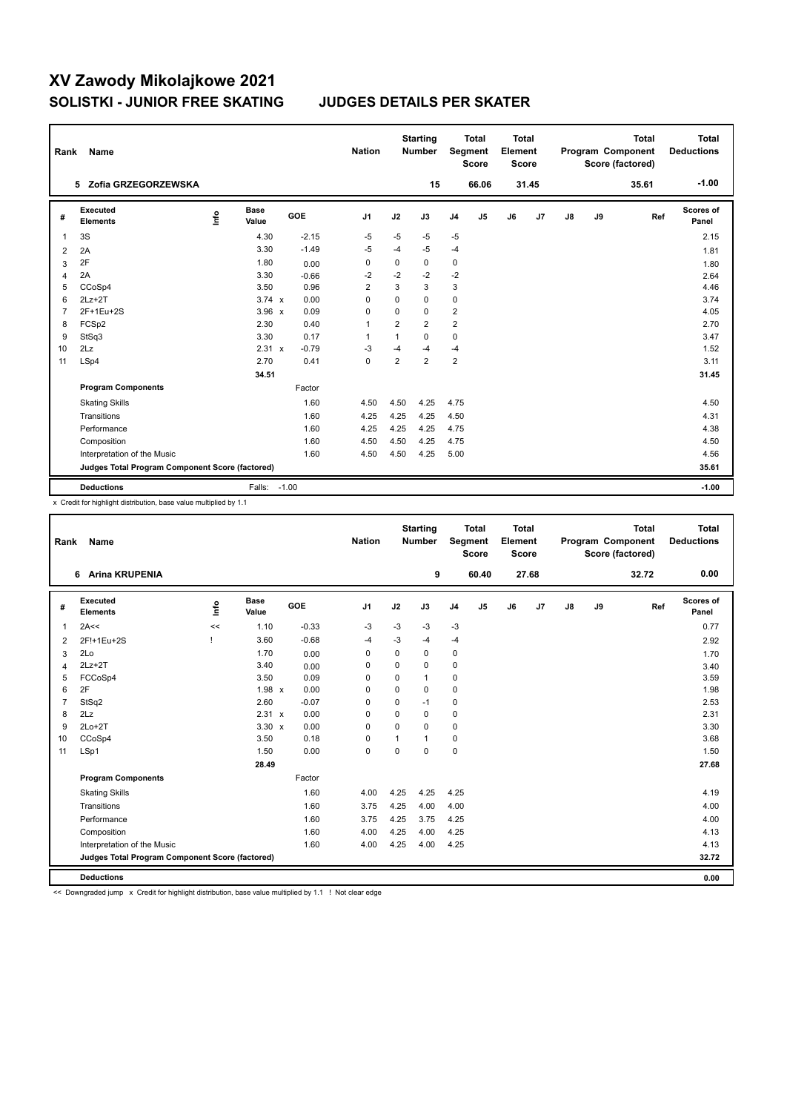| Rank           | Name                                            |      |                      |         |         | <b>Nation</b>  |                | <b>Starting</b><br><b>Number</b> |                | <b>Total</b><br>Segment<br><b>Score</b> | <b>Total</b><br>Element<br><b>Score</b> |       |               |    | <b>Total</b><br>Program Component<br>Score (factored) | <b>Total</b><br><b>Deductions</b> |
|----------------|-------------------------------------------------|------|----------------------|---------|---------|----------------|----------------|----------------------------------|----------------|-----------------------------------------|-----------------------------------------|-------|---------------|----|-------------------------------------------------------|-----------------------------------|
|                | 5 Zofia GRZEGORZEWSKA                           |      |                      |         |         |                |                | 15                               |                | 66.06                                   |                                         | 31.45 |               |    | 35.61                                                 | $-1.00$                           |
| #              | <b>Executed</b><br><b>Elements</b>              | ١nf٥ | <b>Base</b><br>Value |         | GOE     | J <sub>1</sub> | J2             | J3                               | J <sub>4</sub> | J <sub>5</sub>                          | J6                                      | J7    | $\mathsf{J}8$ | J9 | Ref                                                   | Scores of<br>Panel                |
| 1              | 3S                                              |      | 4.30                 |         | $-2.15$ | $-5$           | -5             | -5                               | $-5$           |                                         |                                         |       |               |    |                                                       | 2.15                              |
| 2              | 2A                                              |      | 3.30                 |         | $-1.49$ | $-5$           | -4             | $-5$                             | $-4$           |                                         |                                         |       |               |    |                                                       | 1.81                              |
| 3              | 2F                                              |      | 1.80                 |         | 0.00    | 0              | 0              | 0                                | 0              |                                         |                                         |       |               |    |                                                       | 1.80                              |
| $\overline{4}$ | 2A                                              |      | 3.30                 |         | $-0.66$ | $-2$           | $-2$           | $-2$                             | $-2$           |                                         |                                         |       |               |    |                                                       | 2.64                              |
| 5              | CCoSp4                                          |      | 3.50                 |         | 0.96    | $\overline{2}$ | 3              | 3                                | 3              |                                         |                                         |       |               |    |                                                       | 4.46                              |
| 6              | $2Lz+2T$                                        |      | $3.74 \times$        |         | 0.00    | $\Omega$       | $\Omega$       | $\Omega$                         | 0              |                                         |                                         |       |               |    |                                                       | 3.74                              |
| $\overline{7}$ | 2F+1Eu+2S                                       |      | $3.96 \times$        |         | 0.09    | 0              | $\Omega$       | $\Omega$                         | $\overline{2}$ |                                         |                                         |       |               |    |                                                       | 4.05                              |
| 8              | FCSp2                                           |      | 2.30                 |         | 0.40    | $\mathbf{1}$   | $\overline{2}$ | $\overline{2}$                   | $\overline{2}$ |                                         |                                         |       |               |    |                                                       | 2.70                              |
| 9              | StSq3                                           |      | 3.30                 |         | 0.17    | $\overline{1}$ | $\mathbf{1}$   | $\Omega$                         | 0              |                                         |                                         |       |               |    |                                                       | 3.47                              |
| 10             | 2Lz                                             |      | 2.31 x               |         | $-0.79$ | $-3$           | $-4$           | -4                               | $-4$           |                                         |                                         |       |               |    |                                                       | 1.52                              |
| 11             | LSp4                                            |      | 2.70                 |         | 0.41    | 0              | $\overline{2}$ | $\overline{2}$                   | $\overline{2}$ |                                         |                                         |       |               |    |                                                       | 3.11                              |
|                |                                                 |      | 34.51                |         |         |                |                |                                  |                |                                         |                                         |       |               |    |                                                       | 31.45                             |
|                | <b>Program Components</b>                       |      |                      |         | Factor  |                |                |                                  |                |                                         |                                         |       |               |    |                                                       |                                   |
|                | <b>Skating Skills</b>                           |      |                      |         | 1.60    | 4.50           | 4.50           | 4.25                             | 4.75           |                                         |                                         |       |               |    |                                                       | 4.50                              |
|                | Transitions                                     |      |                      |         | 1.60    | 4.25           | 4.25           | 4.25                             | 4.50           |                                         |                                         |       |               |    |                                                       | 4.31                              |
|                | Performance                                     |      |                      |         | 1.60    | 4.25           | 4.25           | 4.25                             | 4.75           |                                         |                                         |       |               |    |                                                       | 4.38                              |
|                | Composition                                     |      |                      |         | 1.60    | 4.50           | 4.50           | 4.25                             | 4.75           |                                         |                                         |       |               |    |                                                       | 4.50                              |
|                | Interpretation of the Music                     |      |                      |         | 1.60    | 4.50           | 4.50           | 4.25                             | 5.00           |                                         |                                         |       |               |    |                                                       | 4.56                              |
|                | Judges Total Program Component Score (factored) |      |                      |         |         |                |                |                                  |                |                                         |                                         |       |               |    |                                                       | 35.61                             |
|                | <b>Deductions</b>                               |      | Falls:               | $-1.00$ |         |                |                |                                  |                |                                         |                                         |       |               |    |                                                       | $-1.00$                           |

x Credit for highlight distribution, base value multiplied by 1.1

| Rank           | Name                                            |      |                      |         | <b>Nation</b>  |             | <b>Starting</b><br><b>Number</b> |                | <b>Total</b><br><b>Segment</b><br><b>Score</b> | <b>Total</b><br>Element<br><b>Score</b> |       |    |    | <b>Total</b><br>Program Component<br>Score (factored) | <b>Total</b><br><b>Deductions</b> |
|----------------|-------------------------------------------------|------|----------------------|---------|----------------|-------------|----------------------------------|----------------|------------------------------------------------|-----------------------------------------|-------|----|----|-------------------------------------------------------|-----------------------------------|
|                | <b>Arina KRUPENIA</b><br>6                      |      |                      |         |                |             | 9                                |                | 60.40                                          |                                         | 27.68 |    |    | 32.72                                                 | 0.00                              |
| #              | Executed<br><b>Elements</b>                     | lnfo | <b>Base</b><br>Value | GOE     | J <sub>1</sub> | J2          | J3                               | J <sub>4</sub> | J <sub>5</sub>                                 | J6                                      | J7    | J8 | J9 | Ref                                                   | Scores of<br>Panel                |
| 1              | 2A<<                                            | <<   | 1.10                 | $-0.33$ | $-3$           | $-3$        | $-3$                             | $-3$           |                                                |                                         |       |    |    |                                                       | 0.77                              |
| 2              | 2F!+1Eu+2S                                      |      | 3.60                 | $-0.68$ | $-4$           | $-3$        | $-4$                             | $-4$           |                                                |                                         |       |    |    |                                                       | 2.92                              |
| 3              | 2Lo                                             |      | 1.70                 | 0.00    | 0              | $\Omega$    | 0                                | 0              |                                                |                                         |       |    |    |                                                       | 1.70                              |
| 4              | $2Lz+2T$                                        |      | 3.40                 | 0.00    | $\Omega$       | $\mathbf 0$ | 0                                | 0              |                                                |                                         |       |    |    |                                                       | 3.40                              |
| 5              | FCCoSp4                                         |      | 3.50                 | 0.09    | $\Omega$       | 0           | 1                                | 0              |                                                |                                         |       |    |    |                                                       | 3.59                              |
| 6              | 2F                                              |      | 1.98 x               | 0.00    | $\Omega$       | 0           | 0                                | 0              |                                                |                                         |       |    |    |                                                       | 1.98                              |
| $\overline{7}$ | StSq2                                           |      | 2.60                 | $-0.07$ | $\Omega$       | 0           | $-1$                             | $\mathbf 0$    |                                                |                                         |       |    |    |                                                       | 2.53                              |
| 8              | 2Lz                                             |      | 2.31 x               | 0.00    | $\Omega$       | $\Omega$    | $\Omega$                         | 0              |                                                |                                         |       |    |    |                                                       | 2.31                              |
| 9              | $2Lo+2T$                                        |      | $3.30 \times$        | 0.00    | $\Omega$       | $\Omega$    | $\Omega$                         | $\mathbf 0$    |                                                |                                         |       |    |    |                                                       | 3.30                              |
| 10             | CCoSp4                                          |      | 3.50                 | 0.18    | $\mathbf 0$    | 1           | 1                                | 0              |                                                |                                         |       |    |    |                                                       | 3.68                              |
| 11             | LSp1                                            |      | 1.50                 | 0.00    | $\mathbf 0$    | $\Omega$    | $\Omega$                         | $\mathbf 0$    |                                                |                                         |       |    |    |                                                       | 1.50                              |
|                |                                                 |      | 28.49                |         |                |             |                                  |                |                                                |                                         |       |    |    |                                                       | 27.68                             |
|                | <b>Program Components</b>                       |      |                      | Factor  |                |             |                                  |                |                                                |                                         |       |    |    |                                                       |                                   |
|                | <b>Skating Skills</b>                           |      |                      | 1.60    | 4.00           | 4.25        | 4.25                             | 4.25           |                                                |                                         |       |    |    |                                                       | 4.19                              |
|                | Transitions                                     |      |                      | 1.60    | 3.75           | 4.25        | 4.00                             | 4.00           |                                                |                                         |       |    |    |                                                       | 4.00                              |
|                | Performance                                     |      |                      | 1.60    | 3.75           | 4.25        | 3.75                             | 4.25           |                                                |                                         |       |    |    |                                                       | 4.00                              |
|                | Composition                                     |      |                      | 1.60    | 4.00           | 4.25        | 4.00                             | 4.25           |                                                |                                         |       |    |    |                                                       | 4.13                              |
|                | Interpretation of the Music                     |      |                      | 1.60    | 4.00           | 4.25        | 4.00                             | 4.25           |                                                |                                         |       |    |    |                                                       | 4.13                              |
|                | Judges Total Program Component Score (factored) |      |                      |         |                |             |                                  |                |                                                |                                         |       |    |    |                                                       | 32.72                             |
|                | <b>Deductions</b>                               |      |                      |         |                |             |                                  |                |                                                |                                         |       |    |    |                                                       | 0.00                              |

<< Downgraded jump x Credit for highlight distribution, base value multiplied by 1.1 ! Not clear edge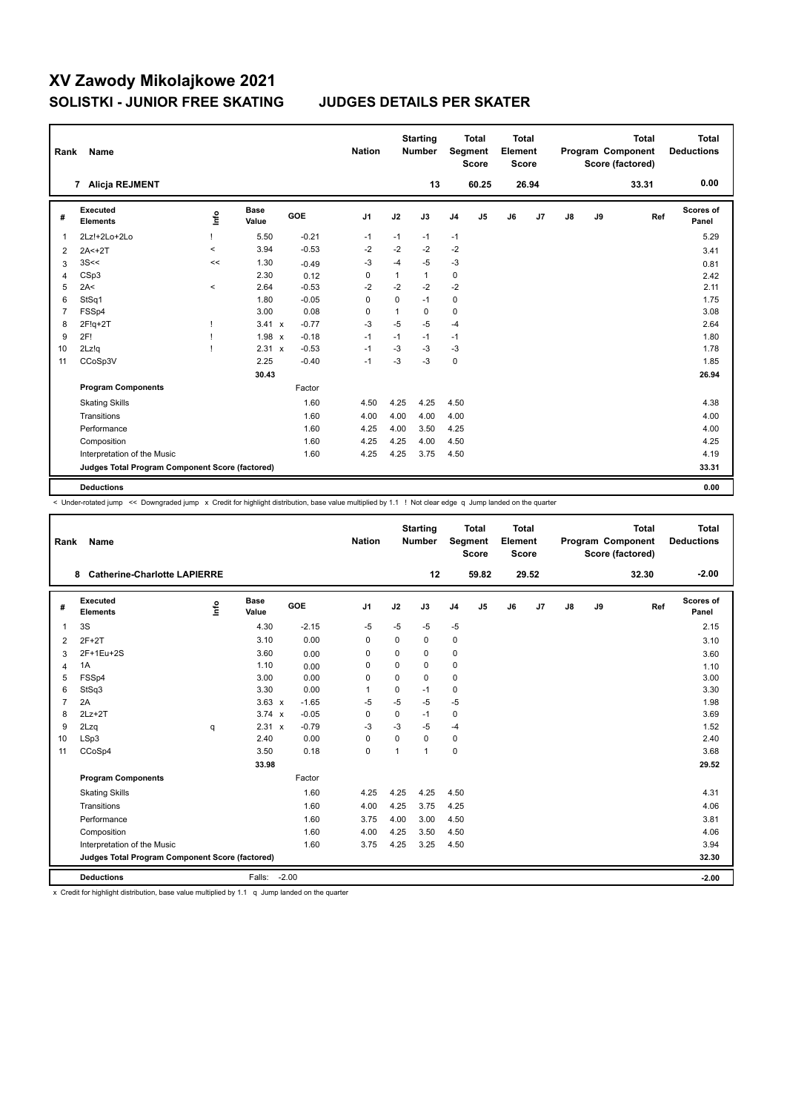| Rank           | Name                                            |         |                      |            | <b>Nation</b> |              | <b>Starting</b><br><b>Number</b> |                | <b>Total</b><br>Segment<br><b>Score</b> | <b>Total</b><br>Element<br><b>Score</b> |       |    |    | <b>Total</b><br>Program Component<br>Score (factored) | <b>Total</b><br><b>Deductions</b> |
|----------------|-------------------------------------------------|---------|----------------------|------------|---------------|--------------|----------------------------------|----------------|-----------------------------------------|-----------------------------------------|-------|----|----|-------------------------------------------------------|-----------------------------------|
|                | Alicja REJMENT<br>7                             |         |                      |            |               |              | 13                               |                | 60.25                                   |                                         | 26.94 |    |    | 33.31                                                 | 0.00                              |
| #              | Executed<br><b>Elements</b>                     | ١nf٥    | <b>Base</b><br>Value | <b>GOE</b> | J1            | J2           | J3                               | J <sub>4</sub> | J5                                      | J6                                      | J7    | J8 | J9 | Ref                                                   | Scores of<br>Panel                |
| 1              | 2Lz!+2Lo+2Lo                                    |         | 5.50                 | $-0.21$    | $-1$          | $-1$         | $-1$                             | $-1$           |                                         |                                         |       |    |    |                                                       | 5.29                              |
| 2              | $2A<+2T$                                        | $\prec$ | 3.94                 | $-0.53$    | $-2$          | $-2$         | $-2$                             | $-2$           |                                         |                                         |       |    |    |                                                       | 3.41                              |
| 3              | 3S<<                                            | <<      | 1.30                 | $-0.49$    | -3            | -4           | $-5$                             | $-3$           |                                         |                                         |       |    |    |                                                       | 0.81                              |
| $\overline{4}$ | CSp3                                            |         | 2.30                 | 0.12       | 0             | $\mathbf{1}$ | $\mathbf{1}$                     | 0              |                                         |                                         |       |    |    |                                                       | 2.42                              |
| 5              | 2A<                                             | $\prec$ | 2.64                 | $-0.53$    | $-2$          | $-2$         | $-2$                             | $-2$           |                                         |                                         |       |    |    |                                                       | 2.11                              |
| 6              | StSq1                                           |         | 1.80                 | $-0.05$    | 0             | $\mathbf 0$  | $-1$                             | 0              |                                         |                                         |       |    |    |                                                       | 1.75                              |
| $\overline{7}$ | FSSp4                                           |         | 3.00                 | 0.08       | 0             | 1            | 0                                | 0              |                                         |                                         |       |    |    |                                                       | 3.08                              |
| 8              | $2F!q+2T$                                       |         | $3.41 \times$        | $-0.77$    | $-3$          | $-5$         | $-5$                             | $-4$           |                                         |                                         |       |    |    |                                                       | 2.64                              |
| 9              | 2F!                                             |         | 1.98 x               | $-0.18$    | $-1$          | $-1$         | $-1$                             | $-1$           |                                         |                                         |       |    |    |                                                       | 1.80                              |
| 10             | 2Lz!q                                           |         | 2.31 x               | $-0.53$    | $-1$          | $-3$         | $-3$                             | -3             |                                         |                                         |       |    |    |                                                       | 1.78                              |
| 11             | CCoSp3V                                         |         | 2.25                 | $-0.40$    | $-1$          | $-3$         | $-3$                             | $\pmb{0}$      |                                         |                                         |       |    |    |                                                       | 1.85                              |
|                |                                                 |         | 30.43                |            |               |              |                                  |                |                                         |                                         |       |    |    |                                                       | 26.94                             |
|                | <b>Program Components</b>                       |         |                      | Factor     |               |              |                                  |                |                                         |                                         |       |    |    |                                                       |                                   |
|                | <b>Skating Skills</b>                           |         |                      | 1.60       | 4.50          | 4.25         | 4.25                             | 4.50           |                                         |                                         |       |    |    |                                                       | 4.38                              |
|                | Transitions                                     |         |                      | 1.60       | 4.00          | 4.00         | 4.00                             | 4.00           |                                         |                                         |       |    |    |                                                       | 4.00                              |
|                | Performance                                     |         |                      | 1.60       | 4.25          | 4.00         | 3.50                             | 4.25           |                                         |                                         |       |    |    |                                                       | 4.00                              |
|                | Composition                                     |         |                      | 1.60       | 4.25          | 4.25         | 4.00                             | 4.50           |                                         |                                         |       |    |    |                                                       | 4.25                              |
|                | Interpretation of the Music                     |         |                      | 1.60       | 4.25          | 4.25         | 3.75                             | 4.50           |                                         |                                         |       |    |    |                                                       | 4.19                              |
|                | Judges Total Program Component Score (factored) |         |                      |            |               |              |                                  |                |                                         |                                         |       |    |    |                                                       | 33.31                             |
|                | <b>Deductions</b>                               |         |                      |            |               |              |                                  |                |                                         |                                         |       |    |    |                                                       | 0.00                              |

< Under-rotated jump << Downgraded jump x Credit for highlight distribution, base value multiplied by 1.1 ! Not clear edge q Jump landed on the quarter

| Rank           | Name                                            |      |                      |         | <b>Nation</b>  |             | <b>Starting</b><br><b>Number</b> |                | <b>Total</b><br>Segment<br><b>Score</b> | Total<br>Element<br><b>Score</b> |       |    |    | <b>Total</b><br>Program Component<br>Score (factored) | <b>Total</b><br><b>Deductions</b> |
|----------------|-------------------------------------------------|------|----------------------|---------|----------------|-------------|----------------------------------|----------------|-----------------------------------------|----------------------------------|-------|----|----|-------------------------------------------------------|-----------------------------------|
|                | <b>Catherine-Charlotte LAPIERRE</b><br>8        |      |                      |         |                |             | 12                               |                | 59.82                                   |                                  | 29.52 |    |    | 32.30                                                 | $-2.00$                           |
| #              | <b>Executed</b><br><b>Elements</b>              | ١nfo | <b>Base</b><br>Value | GOE     | J <sub>1</sub> | J2          | J3                               | J <sub>4</sub> | J5                                      | J6                               | J7    | J8 | J9 | Ref                                                   | Scores of<br>Panel                |
| 1              | 3S                                              |      | 4.30                 | $-2.15$ | $-5$           | $-5$        | $-5$                             | $-5$           |                                         |                                  |       |    |    |                                                       | 2.15                              |
| $\overline{2}$ | $2F+2T$                                         |      | 3.10                 | 0.00    | $\Omega$       | $\Omega$    | $\Omega$                         | 0              |                                         |                                  |       |    |    |                                                       | 3.10                              |
| 3              | 2F+1Eu+2S                                       |      | 3.60                 | 0.00    | 0              | $\mathbf 0$ | $\Omega$                         | 0              |                                         |                                  |       |    |    |                                                       | 3.60                              |
| $\overline{4}$ | 1A                                              |      | 1.10                 | 0.00    | $\Omega$       | 0           | $\Omega$                         | 0              |                                         |                                  |       |    |    |                                                       | 1.10                              |
| 5              | FSSp4                                           |      | 3.00                 | 0.00    | $\Omega$       | $\mathbf 0$ | $\Omega$                         | 0              |                                         |                                  |       |    |    |                                                       | 3.00                              |
| 6              | StSq3                                           |      | 3.30                 | 0.00    | 1              | $\mathbf 0$ | $-1$                             | 0              |                                         |                                  |       |    |    |                                                       | 3.30                              |
| $\overline{7}$ | 2A                                              |      | $3.63 \times$        | $-1.65$ | $-5$           | $-5$        | $-5$                             | $-5$           |                                         |                                  |       |    |    |                                                       | 1.98                              |
| 8              | $2Lz+2T$                                        |      | $3.74 \times$        | $-0.05$ | 0              | 0           | $-1$                             | 0              |                                         |                                  |       |    |    |                                                       | 3.69                              |
| 9              | 2Lzq                                            | q    | 2.31 x               | $-0.79$ | $-3$           | $-3$        | $-5$                             | $-4$           |                                         |                                  |       |    |    |                                                       | 1.52                              |
| 10             | LSp3                                            |      | 2.40                 | 0.00    | 0              | $\Omega$    | $\Omega$                         | $\mathbf 0$    |                                         |                                  |       |    |    |                                                       | 2.40                              |
| 11             | CCoSp4                                          |      | 3.50                 | 0.18    | $\mathbf 0$    | 1           | $\mathbf{1}$                     | 0              |                                         |                                  |       |    |    |                                                       | 3.68                              |
|                |                                                 |      | 33.98                |         |                |             |                                  |                |                                         |                                  |       |    |    |                                                       | 29.52                             |
|                | <b>Program Components</b>                       |      |                      | Factor  |                |             |                                  |                |                                         |                                  |       |    |    |                                                       |                                   |
|                | <b>Skating Skills</b>                           |      |                      | 1.60    | 4.25           | 4.25        | 4.25                             | 4.50           |                                         |                                  |       |    |    |                                                       | 4.31                              |
|                | Transitions                                     |      |                      | 1.60    | 4.00           | 4.25        | 3.75                             | 4.25           |                                         |                                  |       |    |    |                                                       | 4.06                              |
|                | Performance                                     |      |                      | 1.60    | 3.75           | 4.00        | 3.00                             | 4.50           |                                         |                                  |       |    |    |                                                       | 3.81                              |
|                | Composition                                     |      |                      | 1.60    | 4.00           | 4.25        | 3.50                             | 4.50           |                                         |                                  |       |    |    |                                                       | 4.06                              |
|                | Interpretation of the Music                     |      |                      | 1.60    | 3.75           | 4.25        | 3.25                             | 4.50           |                                         |                                  |       |    |    |                                                       | 3.94                              |
|                | Judges Total Program Component Score (factored) |      |                      |         |                |             |                                  |                |                                         |                                  |       |    |    |                                                       | 32.30                             |
|                | <b>Deductions</b>                               |      | Falls:               | $-2.00$ |                |             |                                  |                |                                         |                                  |       |    |    |                                                       | $-2.00$                           |

x Credit for highlight distribution, base value multiplied by 1.1 q Jump landed on the quarter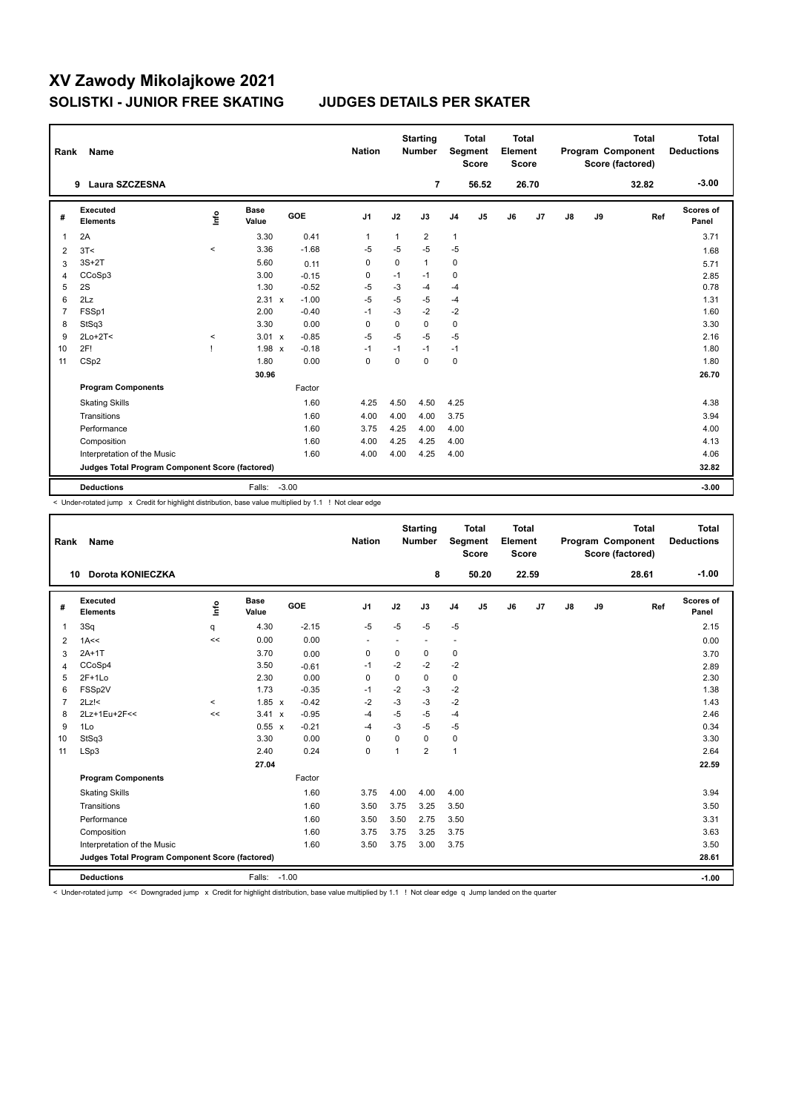| Rank           | Name                                            |         |                      |            | <b>Nation</b>  |             | <b>Starting</b><br><b>Number</b> |                | Total<br>Segment<br><b>Score</b> | Total<br>Element<br>Score |                |    |    | <b>Total</b><br>Program Component<br>Score (factored) | <b>Total</b><br><b>Deductions</b> |
|----------------|-------------------------------------------------|---------|----------------------|------------|----------------|-------------|----------------------------------|----------------|----------------------------------|---------------------------|----------------|----|----|-------------------------------------------------------|-----------------------------------|
|                | Laura SZCZESNA<br>9                             |         |                      |            |                |             | 7                                |                | 56.52                            |                           | 26.70          |    |    | 32.82                                                 | $-3.00$                           |
| #              | Executed<br><b>Elements</b>                     | ١nf٥    | <b>Base</b><br>Value | <b>GOE</b> | J <sub>1</sub> | J2          | J3                               | J <sub>4</sub> | J <sub>5</sub>                   | J6                        | J <sub>7</sub> | J8 | J9 | Ref                                                   | Scores of<br>Panel                |
| 1              | 2A                                              |         | 3.30                 | 0.41       | $\overline{1}$ | 1           | $\overline{2}$                   | $\mathbf{1}$   |                                  |                           |                |    |    |                                                       | 3.71                              |
| $\overline{2}$ | 3T<                                             | $\,<$   | 3.36                 | $-1.68$    | $-5$           | $-5$        | $-5$                             | $-5$           |                                  |                           |                |    |    |                                                       | 1.68                              |
| 3              | $3S+2T$                                         |         | 5.60                 | 0.11       | 0              | $\mathbf 0$ | $\mathbf{1}$                     | 0              |                                  |                           |                |    |    |                                                       | 5.71                              |
| $\overline{4}$ | CCoSp3                                          |         | 3.00                 | $-0.15$    | 0              | $-1$        | $-1$                             | 0              |                                  |                           |                |    |    |                                                       | 2.85                              |
| 5              | 2S                                              |         | 1.30                 | $-0.52$    | -5             | $-3$        | $-4$                             | $-4$           |                                  |                           |                |    |    |                                                       | 0.78                              |
| 6              | 2Lz                                             |         | 2.31 x               | $-1.00$    | $-5$           | $-5$        | $-5$                             | $-4$           |                                  |                           |                |    |    |                                                       | 1.31                              |
| $\overline{7}$ | FSSp1                                           |         | 2.00                 | $-0.40$    | $-1$           | $-3$        | $-2$                             | $-2$           |                                  |                           |                |    |    |                                                       | 1.60                              |
| 8              | StSq3                                           |         | 3.30                 | 0.00       | 0              | $\mathbf 0$ | 0                                | $\mathbf 0$    |                                  |                           |                |    |    |                                                       | 3.30                              |
| 9              | $2Lo+2T<$                                       | $\prec$ | 3.01 x               | $-0.85$    | $-5$           | $-5$        | $-5$                             | $-5$           |                                  |                           |                |    |    |                                                       | 2.16                              |
| 10             | 2F!                                             |         | $1.98 \times$        | $-0.18$    | $-1$           | $-1$        | $-1$                             | $-1$           |                                  |                           |                |    |    |                                                       | 1.80                              |
| 11             | CSp2                                            |         | 1.80                 | 0.00       | $\mathbf 0$    | $\Omega$    | $\Omega$                         | $\mathbf 0$    |                                  |                           |                |    |    |                                                       | 1.80                              |
|                |                                                 |         | 30.96                |            |                |             |                                  |                |                                  |                           |                |    |    |                                                       | 26.70                             |
|                | <b>Program Components</b>                       |         |                      | Factor     |                |             |                                  |                |                                  |                           |                |    |    |                                                       |                                   |
|                | <b>Skating Skills</b>                           |         |                      | 1.60       | 4.25           | 4.50        | 4.50                             | 4.25           |                                  |                           |                |    |    |                                                       | 4.38                              |
|                | Transitions                                     |         |                      | 1.60       | 4.00           | 4.00        | 4.00                             | 3.75           |                                  |                           |                |    |    |                                                       | 3.94                              |
|                | Performance                                     |         |                      | 1.60       | 3.75           | 4.25        | 4.00                             | 4.00           |                                  |                           |                |    |    |                                                       | 4.00                              |
|                | Composition                                     |         |                      | 1.60       | 4.00           | 4.25        | 4.25                             | 4.00           |                                  |                           |                |    |    |                                                       | 4.13                              |
|                | Interpretation of the Music                     |         |                      | 1.60       | 4.00           | 4.00        | 4.25                             | 4.00           |                                  |                           |                |    |    |                                                       | 4.06                              |
|                | Judges Total Program Component Score (factored) |         |                      |            |                |             |                                  |                |                                  |                           |                |    |    |                                                       | 32.82                             |
|                | <b>Deductions</b>                               |         | Falls: -3.00         |            |                |             |                                  |                |                                  |                           |                |    |    |                                                       | $-3.00$                           |

< Under-rotated jump x Credit for highlight distribution, base value multiplied by 1.1 ! Not clear edge

| Rank           | <b>Name</b>                                     |          |                      |         | <b>Nation</b>            |                | <b>Starting</b><br>Number |                | <b>Total</b><br>Segment<br><b>Score</b> | <b>Total</b><br>Element<br><b>Score</b> |       |    |    | <b>Total</b><br>Program Component<br>Score (factored) | Total<br><b>Deductions</b> |
|----------------|-------------------------------------------------|----------|----------------------|---------|--------------------------|----------------|---------------------------|----------------|-----------------------------------------|-----------------------------------------|-------|----|----|-------------------------------------------------------|----------------------------|
|                | Dorota KONIECZKA<br>10                          |          |                      |         |                          |                | 8                         |                | 50.20                                   |                                         | 22.59 |    |    | 28.61                                                 | $-1.00$                    |
| #              | Executed<br><b>Elements</b>                     | ١m       | <b>Base</b><br>Value | GOE     | J1                       | J2             | J3                        | J <sub>4</sub> | J5                                      | J6                                      | J7    | J8 | J9 | Ref                                                   | <b>Scores of</b><br>Panel  |
| $\overline{1}$ | 3Sq                                             | q        | 4.30                 | $-2.15$ | $-5$                     | $-5$           | $-5$                      | $-5$           |                                         |                                         |       |    |    |                                                       | 2.15                       |
| 2              | 1A<<                                            | <<       | 0.00                 | 0.00    | $\overline{\phantom{a}}$ |                | $\overline{\phantom{a}}$  | ÷              |                                         |                                         |       |    |    |                                                       | 0.00                       |
| 3              | $2A+1T$                                         |          | 3.70                 | 0.00    | 0                        | 0              | 0                         | 0              |                                         |                                         |       |    |    |                                                       | 3.70                       |
| 4              | CCoSp4                                          |          | 3.50                 | $-0.61$ | $-1$                     | $-2$           | $-2$                      | $-2$           |                                         |                                         |       |    |    |                                                       | 2.89                       |
| 5              | $2F+1Lo$                                        |          | 2.30                 | 0.00    | $\mathbf 0$              | $\mathbf 0$    | 0                         | $\mathbf 0$    |                                         |                                         |       |    |    |                                                       | 2.30                       |
| 6              | FSSp2V                                          |          | 1.73                 | $-0.35$ | $-1$                     | $-2$           | $-3$                      | $-2$           |                                         |                                         |       |    |    |                                                       | 1.38                       |
| $\overline{7}$ | $2Lz$ !<                                        | $\hat{}$ | $1.85 \times$        | $-0.42$ | -2                       | $-3$           | $-3$                      | $-2$           |                                         |                                         |       |    |    |                                                       | 1.43                       |
| 8              | 2Lz+1Eu+2F<<                                    | <<       | $3.41 \times$        | $-0.95$ | $-4$                     | $-5$           | $-5$                      | $-4$           |                                         |                                         |       |    |    |                                                       | 2.46                       |
| 9              | 1Lo                                             |          | $0.55 \times$        | $-0.21$ | -4                       | $-3$           | $-5$                      | $-5$           |                                         |                                         |       |    |    |                                                       | 0.34                       |
| 10             | StSq3                                           |          | 3.30                 | 0.00    | 0                        | $\Omega$       | $\Omega$                  | 0              |                                         |                                         |       |    |    |                                                       | 3.30                       |
| 11             | LSp3                                            |          | 2.40                 | 0.24    | $\mathbf 0$              | $\overline{1}$ | $\overline{2}$            | $\mathbf{1}$   |                                         |                                         |       |    |    |                                                       | 2.64                       |
|                |                                                 |          | 27.04                |         |                          |                |                           |                |                                         |                                         |       |    |    |                                                       | 22.59                      |
|                | <b>Program Components</b>                       |          |                      | Factor  |                          |                |                           |                |                                         |                                         |       |    |    |                                                       |                            |
|                | <b>Skating Skills</b>                           |          |                      | 1.60    | 3.75                     | 4.00           | 4.00                      | 4.00           |                                         |                                         |       |    |    |                                                       | 3.94                       |
|                | Transitions                                     |          |                      | 1.60    | 3.50                     | 3.75           | 3.25                      | 3.50           |                                         |                                         |       |    |    |                                                       | 3.50                       |
|                | Performance                                     |          |                      | 1.60    | 3.50                     | 3.50           | 2.75                      | 3.50           |                                         |                                         |       |    |    |                                                       | 3.31                       |
|                | Composition                                     |          |                      | 1.60    | 3.75                     | 3.75           | 3.25                      | 3.75           |                                         |                                         |       |    |    |                                                       | 3.63                       |
|                | Interpretation of the Music                     |          |                      | 1.60    | 3.50                     | 3.75           | 3.00                      | 3.75           |                                         |                                         |       |    |    |                                                       | 3.50                       |
|                | Judges Total Program Component Score (factored) |          |                      |         |                          |                |                           |                |                                         |                                         |       |    |    |                                                       | 28.61                      |
|                | <b>Deductions</b>                               |          | Falls: -1.00         |         |                          |                |                           |                |                                         |                                         |       |    |    |                                                       | $-1.00$                    |

< Under-rotated jump << Downgraded jump x Credit for highlight distribution, base value multiplied by 1.1 ! Not clear edge q Jump landed on the quarter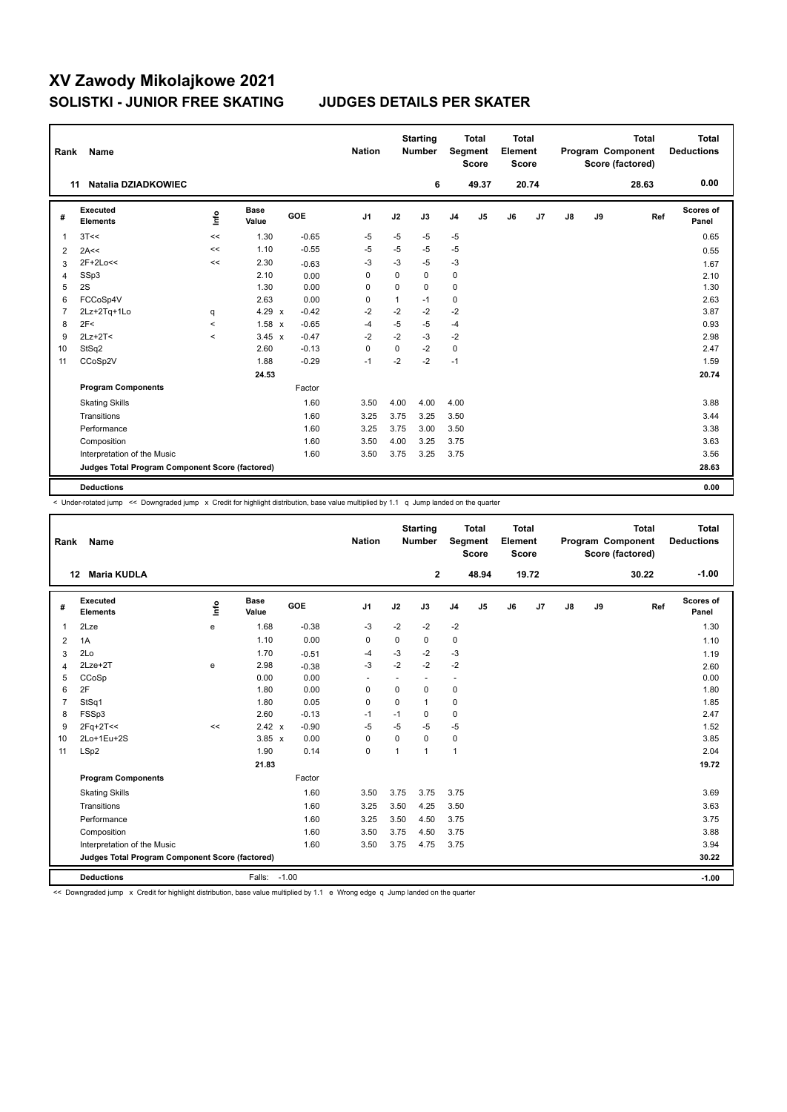| Rank           | Name                                            |         |                      |         | <b>Nation</b> |              | <b>Starting</b><br><b>Number</b> |                | <b>Total</b><br>Segment<br><b>Score</b> | <b>Total</b><br>Element<br><b>Score</b> |                |    |    | <b>Total</b><br>Program Component<br>Score (factored) | <b>Total</b><br><b>Deductions</b> |
|----------------|-------------------------------------------------|---------|----------------------|---------|---------------|--------------|----------------------------------|----------------|-----------------------------------------|-----------------------------------------|----------------|----|----|-------------------------------------------------------|-----------------------------------|
|                | <b>Natalia DZIADKOWIEC</b><br>11                |         |                      |         |               |              | 6                                |                | 49.37                                   |                                         | 20.74          |    |    | 28.63                                                 | 0.00                              |
| #              | Executed<br><b>Elements</b>                     | lnfo    | <b>Base</b><br>Value | GOE     | J1            | J2           | J3                               | J <sub>4</sub> | J5                                      | J6                                      | J <sub>7</sub> | J8 | J9 | Ref                                                   | Scores of<br>Panel                |
| $\overline{1}$ | 3T<<                                            | <<      | 1.30                 | $-0.65$ | $-5$          | -5           | $-5$                             | $-5$           |                                         |                                         |                |    |    |                                                       | 0.65                              |
| 2              | 2A<<                                            | <<      | 1.10                 | $-0.55$ | $-5$          | $-5$         | $-5$                             | $-5$           |                                         |                                         |                |    |    |                                                       | 0.55                              |
| 3              | 2F+2Lo<<                                        | <<      | 2.30                 | $-0.63$ | -3            | $-3$         | $-5$                             | $-3$           |                                         |                                         |                |    |    |                                                       | 1.67                              |
| 4              | SSp3                                            |         | 2.10                 | 0.00    | $\mathbf 0$   | $\Omega$     | 0                                | $\mathbf 0$    |                                         |                                         |                |    |    |                                                       | 2.10                              |
| 5              | 2S                                              |         | 1.30                 | 0.00    | 0             | 0            | 0                                | $\mathbf 0$    |                                         |                                         |                |    |    |                                                       | 1.30                              |
| 6              | FCCoSp4V                                        |         | 2.63                 | 0.00    | 0             | $\mathbf{1}$ | $-1$                             | 0              |                                         |                                         |                |    |    |                                                       | 2.63                              |
| $\overline{7}$ | 2Lz+2Tq+1Lo                                     | q       | $4.29 \times$        | $-0.42$ | $-2$          | $-2$         | $-2$                             | $-2$           |                                         |                                         |                |    |    |                                                       | 3.87                              |
| 8              | 2F<                                             | $\prec$ | 1.58 x               | $-0.65$ | $-4$          | -5           | $-5$                             | $-4$           |                                         |                                         |                |    |    |                                                       | 0.93                              |
| 9              | $2Lz+2T<$                                       | $\prec$ | $3.45 \times$        | $-0.47$ | $-2$          | $-2$         | $-3$                             | $-2$           |                                         |                                         |                |    |    |                                                       | 2.98                              |
| 10             | StSq2                                           |         | 2.60                 | $-0.13$ | $\mathbf 0$   | $\mathbf 0$  | $-2$                             | $\mathbf 0$    |                                         |                                         |                |    |    |                                                       | 2.47                              |
| 11             | CCoSp2V                                         |         | 1.88                 | $-0.29$ | $-1$          | $-2$         | $-2$                             | $-1$           |                                         |                                         |                |    |    |                                                       | 1.59                              |
|                |                                                 |         | 24.53                |         |               |              |                                  |                |                                         |                                         |                |    |    |                                                       | 20.74                             |
|                | <b>Program Components</b>                       |         |                      | Factor  |               |              |                                  |                |                                         |                                         |                |    |    |                                                       |                                   |
|                | <b>Skating Skills</b>                           |         |                      | 1.60    | 3.50          | 4.00         | 4.00                             | 4.00           |                                         |                                         |                |    |    |                                                       | 3.88                              |
|                | Transitions                                     |         |                      | 1.60    | 3.25          | 3.75         | 3.25                             | 3.50           |                                         |                                         |                |    |    |                                                       | 3.44                              |
|                | Performance                                     |         |                      | 1.60    | 3.25          | 3.75         | 3.00                             | 3.50           |                                         |                                         |                |    |    |                                                       | 3.38                              |
|                | Composition                                     |         |                      | 1.60    | 3.50          | 4.00         | 3.25                             | 3.75           |                                         |                                         |                |    |    |                                                       | 3.63                              |
|                | Interpretation of the Music                     |         |                      | 1.60    | 3.50          | 3.75         | 3.25                             | 3.75           |                                         |                                         |                |    |    |                                                       | 3.56                              |
|                | Judges Total Program Component Score (factored) |         |                      |         |               |              |                                  |                |                                         |                                         |                |    |    |                                                       | 28.63                             |
|                | <b>Deductions</b>                               |         |                      |         |               |              |                                  |                |                                         |                                         |                |    |    |                                                       | 0.00                              |

< Under-rotated jump << Downgraded jump x Credit for highlight distribution, base value multiplied by 1.1 q Jump landed on the quarter

| Rank           | Name                                            |      |                      |            | <b>Nation</b>  |             | <b>Starting</b><br><b>Number</b> |                | <b>Total</b><br>Segment<br><b>Score</b> | <b>Total</b><br>Element<br><b>Score</b> |       |    |    | <b>Total</b><br>Program Component<br>Score (factored) | <b>Total</b><br><b>Deductions</b> |
|----------------|-------------------------------------------------|------|----------------------|------------|----------------|-------------|----------------------------------|----------------|-----------------------------------------|-----------------------------------------|-------|----|----|-------------------------------------------------------|-----------------------------------|
|                | <b>Maria KUDLA</b><br>12 <sup>12</sup>          |      |                      |            |                |             | $\mathbf{2}$                     |                | 48.94                                   |                                         | 19.72 |    |    | 30.22                                                 | $-1.00$                           |
| #              | Executed<br><b>Elements</b>                     | lnfo | <b>Base</b><br>Value | <b>GOE</b> | J <sub>1</sub> | J2          | J3                               | J <sub>4</sub> | J <sub>5</sub>                          | J6                                      | J7    | J8 | J9 | Ref                                                   | Scores of<br>Panel                |
| 1              | 2Lze                                            | e    | 1.68                 | $-0.38$    | $-3$           | $-2$        | $-2$                             | $-2$           |                                         |                                         |       |    |    |                                                       | 1.30                              |
| 2              | 1A                                              |      | 1.10                 | 0.00       | $\Omega$       | $\Omega$    | $\Omega$                         | 0              |                                         |                                         |       |    |    |                                                       | 1.10                              |
| 3              | 2Lo                                             |      | 1.70                 | $-0.51$    | $-4$           | $-3$        | $-2$                             | $-3$           |                                         |                                         |       |    |    |                                                       | 1.19                              |
| 4              | $2$ Lze $+2$ T                                  | e    | 2.98                 | $-0.38$    | $-3$           | $-2$        | $-2$                             | $-2$           |                                         |                                         |       |    |    |                                                       | 2.60                              |
| 5              | CCoSp                                           |      | 0.00                 | 0.00       |                | ٠           |                                  | ٠              |                                         |                                         |       |    |    |                                                       | 0.00                              |
| 6              | 2F                                              |      | 1.80                 | 0.00       | $\mathbf 0$    | $\mathbf 0$ | $\mathbf 0$                      | $\mathbf 0$    |                                         |                                         |       |    |    |                                                       | 1.80                              |
| $\overline{7}$ | StSq1                                           |      | 1.80                 | 0.05       | 0              | $\Omega$    | $\mathbf{1}$                     | $\mathbf 0$    |                                         |                                         |       |    |    |                                                       | 1.85                              |
| 8              | FSSp3                                           |      | 2.60                 | $-0.13$    | $-1$           | $-1$        | 0                                | 0              |                                         |                                         |       |    |    |                                                       | 2.47                              |
| 9              | $2Fq+2T<<$                                      | <<   | 2.42 x               | $-0.90$    | $-5$           | $-5$        | $-5$                             | $-5$           |                                         |                                         |       |    |    |                                                       | 1.52                              |
| 10             | 2Lo+1Eu+2S                                      |      | $3.85 \times$        | 0.00       | 0              | $\mathbf 0$ | $\Omega$                         | 0              |                                         |                                         |       |    |    |                                                       | 3.85                              |
| 11             | LSp2                                            |      | 1.90                 | 0.14       | $\mathbf 0$    | 1           | $\mathbf{1}$                     | $\mathbf{1}$   |                                         |                                         |       |    |    |                                                       | 2.04                              |
|                |                                                 |      | 21.83                |            |                |             |                                  |                |                                         |                                         |       |    |    |                                                       | 19.72                             |
|                | <b>Program Components</b>                       |      |                      | Factor     |                |             |                                  |                |                                         |                                         |       |    |    |                                                       |                                   |
|                | <b>Skating Skills</b>                           |      |                      | 1.60       | 3.50           | 3.75        | 3.75                             | 3.75           |                                         |                                         |       |    |    |                                                       | 3.69                              |
|                | Transitions                                     |      |                      | 1.60       | 3.25           | 3.50        | 4.25                             | 3.50           |                                         |                                         |       |    |    |                                                       | 3.63                              |
|                | Performance                                     |      |                      | 1.60       | 3.25           | 3.50        | 4.50                             | 3.75           |                                         |                                         |       |    |    |                                                       | 3.75                              |
|                | Composition                                     |      |                      | 1.60       | 3.50           | 3.75        | 4.50                             | 3.75           |                                         |                                         |       |    |    |                                                       | 3.88                              |
|                | Interpretation of the Music                     |      |                      | 1.60       | 3.50           | 3.75        | 4.75                             | 3.75           |                                         |                                         |       |    |    |                                                       | 3.94                              |
|                | Judges Total Program Component Score (factored) |      |                      |            |                |             |                                  |                |                                         |                                         |       |    |    |                                                       | 30.22                             |
|                | <b>Deductions</b>                               |      | Falls: -1.00         |            |                |             |                                  |                |                                         |                                         |       |    |    |                                                       | $-1.00$                           |

<< Downgraded jump x Credit for highlight distribution, base value multiplied by 1.1 e Wrong edge q Jump landed on the quarter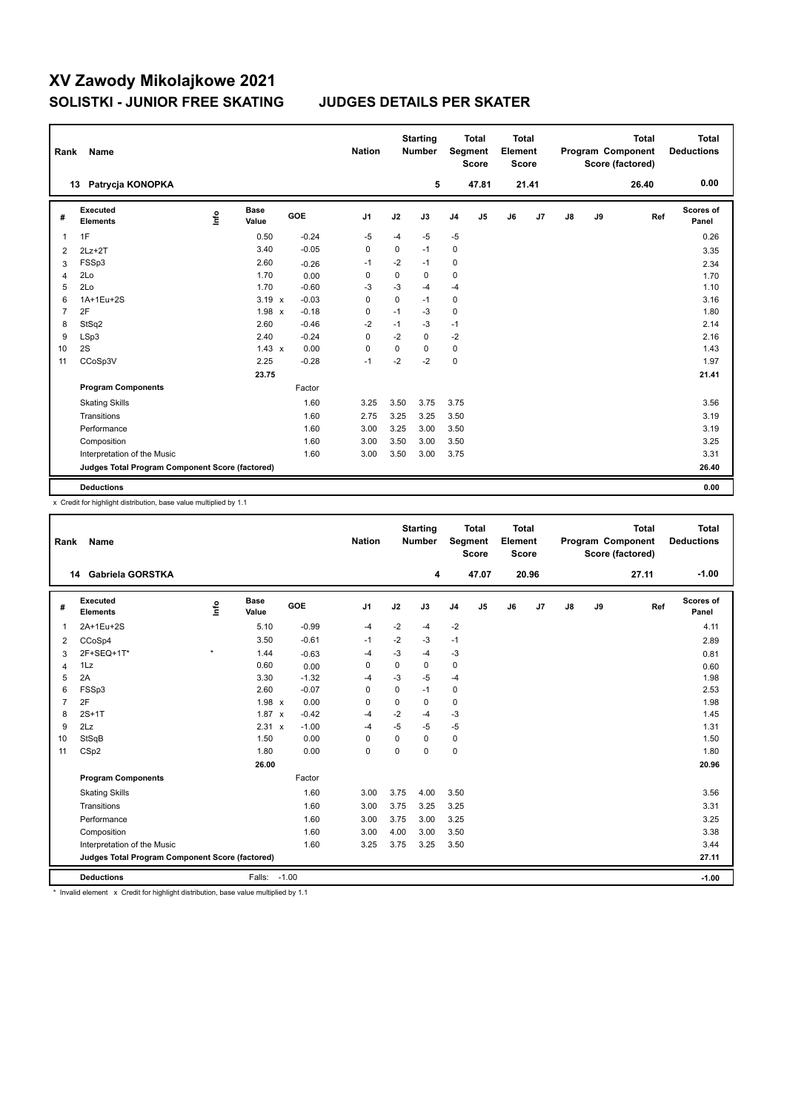| Rank           | Name                                            |      |                      |            | <b>Nation</b> |             | <b>Starting</b><br><b>Number</b> |                | <b>Total</b><br>Segment<br><b>Score</b> | <b>Total</b><br>Element<br><b>Score</b> |                |               |    | <b>Total</b><br>Program Component<br>Score (factored) | <b>Total</b><br><b>Deductions</b> |
|----------------|-------------------------------------------------|------|----------------------|------------|---------------|-------------|----------------------------------|----------------|-----------------------------------------|-----------------------------------------|----------------|---------------|----|-------------------------------------------------------|-----------------------------------|
|                | Patrycja KONOPKA<br>13                          |      |                      |            |               |             | 5                                |                | 47.81                                   |                                         | 21.41          |               |    | 26.40                                                 | 0.00                              |
| #              | Executed<br><b>Elements</b>                     | lnfo | <b>Base</b><br>Value | <b>GOE</b> | J1            | J2          | J3                               | J <sub>4</sub> | J5                                      | J6                                      | J <sub>7</sub> | $\mathsf{J}8$ | J9 | Ref                                                   | Scores of<br>Panel                |
| 1              | 1F                                              |      | 0.50                 | $-0.24$    | $-5$          | $-4$        | $-5$                             | $-5$           |                                         |                                         |                |               |    |                                                       | 0.26                              |
| 2              | $2Lz+2T$                                        |      | 3.40                 | $-0.05$    | 0             | 0           | $-1$                             | 0              |                                         |                                         |                |               |    |                                                       | 3.35                              |
| 3              | FSSp3                                           |      | 2.60                 | $-0.26$    | -1            | $-2$        | $-1$                             | 0              |                                         |                                         |                |               |    |                                                       | 2.34                              |
| 4              | 2Lo                                             |      | 1.70                 | 0.00       | 0             | $\mathbf 0$ | 0                                | 0              |                                         |                                         |                |               |    |                                                       | 1.70                              |
| 5              | 2Lo                                             |      | 1.70                 | $-0.60$    | -3            | -3          | $-4$                             | $-4$           |                                         |                                         |                |               |    |                                                       | 1.10                              |
| 6              | 1A+1Eu+2S                                       |      | $3.19 \times$        | $-0.03$    | 0             | $\mathbf 0$ | $-1$                             | 0              |                                         |                                         |                |               |    |                                                       | 3.16                              |
| $\overline{7}$ | 2F                                              |      | 1.98 x               | $-0.18$    | 0             | $-1$        | -3                               | $\pmb{0}$      |                                         |                                         |                |               |    |                                                       | 1.80                              |
| 8              | StSq2                                           |      | 2.60                 | $-0.46$    | $-2$          | $-1$        | $-3$                             | $-1$           |                                         |                                         |                |               |    |                                                       | 2.14                              |
| 9              | LSp3                                            |      | 2.40                 | $-0.24$    | 0             | $-2$        | 0                                | $-2$           |                                         |                                         |                |               |    |                                                       | 2.16                              |
| 10             | 2S                                              |      | $1.43 \times$        | 0.00       | $\mathbf 0$   | 0           | 0                                | $\pmb{0}$      |                                         |                                         |                |               |    |                                                       | 1.43                              |
| 11             | CCoSp3V                                         |      | 2.25                 | $-0.28$    | $-1$          | $-2$        | $-2$                             | $\pmb{0}$      |                                         |                                         |                |               |    |                                                       | 1.97                              |
|                |                                                 |      | 23.75                |            |               |             |                                  |                |                                         |                                         |                |               |    |                                                       | 21.41                             |
|                | <b>Program Components</b>                       |      |                      | Factor     |               |             |                                  |                |                                         |                                         |                |               |    |                                                       |                                   |
|                | <b>Skating Skills</b>                           |      |                      | 1.60       | 3.25          | 3.50        | 3.75                             | 3.75           |                                         |                                         |                |               |    |                                                       | 3.56                              |
|                | Transitions                                     |      |                      | 1.60       | 2.75          | 3.25        | 3.25                             | 3.50           |                                         |                                         |                |               |    |                                                       | 3.19                              |
|                | Performance                                     |      |                      | 1.60       | 3.00          | 3.25        | 3.00                             | 3.50           |                                         |                                         |                |               |    |                                                       | 3.19                              |
|                | Composition                                     |      |                      | 1.60       | 3.00          | 3.50        | 3.00                             | 3.50           |                                         |                                         |                |               |    |                                                       | 3.25                              |
|                | Interpretation of the Music                     |      |                      | 1.60       | 3.00          | 3.50        | 3.00                             | 3.75           |                                         |                                         |                |               |    |                                                       | 3.31                              |
|                | Judges Total Program Component Score (factored) |      |                      |            |               |             |                                  |                |                                         |                                         |                |               |    |                                                       | 26.40                             |
|                | <b>Deductions</b>                               |      |                      |            |               |             |                                  |                |                                         |                                         |                |               |    |                                                       | 0.00                              |

x Credit for highlight distribution, base value multiplied by 1.1

| Rank                                            | Name                        |         |                      |         |                |          | <b>Nation</b> | <b>Starting</b><br><b>Number</b> |                | <b>Total</b><br>Segment<br><b>Score</b> |       | <b>Total</b><br>Element<br><b>Score</b> |       | Program Component |                           | <b>Total</b><br>Score (factored) | <b>Total</b><br><b>Deductions</b> |
|-------------------------------------------------|-----------------------------|---------|----------------------|---------|----------------|----------|---------------|----------------------------------|----------------|-----------------------------------------|-------|-----------------------------------------|-------|-------------------|---------------------------|----------------------------------|-----------------------------------|
|                                                 | 14 Gabriela GORSTKA         |         |                      |         |                |          | 4             |                                  | 47.07          |                                         | 20.96 |                                         |       | 27.11             | $-1.00$                   |                                  |                                   |
| #                                               | Executed<br><b>Elements</b> | Linfo   | <b>Base</b><br>Value | GOE     | J <sub>1</sub> | J2       | J3            | J <sub>4</sub>                   | J <sub>5</sub> | J6                                      | J7    | J8                                      | J9    | Ref               | <b>Scores of</b><br>Panel |                                  |                                   |
| $\mathbf{1}$                                    | 2A+1Eu+2S                   |         | 5.10                 | $-0.99$ | $-4$           | $-2$     | $-4$          | $-2$                             |                |                                         |       |                                         |       |                   | 4.11                      |                                  |                                   |
| 2                                               | CCoSp4                      |         | 3.50                 | $-0.61$ | $-1$           | $-2$     | -3            | $-1$                             |                |                                         |       |                                         |       |                   | 2.89                      |                                  |                                   |
| 3                                               | 2F+SEQ+1T*                  | $\star$ | 1.44                 | $-0.63$ | $-4$           | $-3$     | $-4$          | -3                               |                |                                         |       |                                         |       |                   | 0.81                      |                                  |                                   |
| $\overline{4}$                                  | 1Lz                         |         | 0.60                 | 0.00    | $\mathbf 0$    | 0        | 0             | 0                                |                |                                         |       |                                         |       |                   | 0.60                      |                                  |                                   |
| 5                                               | 2A                          |         | 3.30                 | $-1.32$ | $-4$           | $-3$     | $-5$          | -4                               |                |                                         |       |                                         |       |                   | 1.98                      |                                  |                                   |
| 6                                               | FSSp3                       |         | 2.60                 | $-0.07$ | $\Omega$       | $\Omega$ | $-1$          | 0                                |                |                                         |       |                                         |       |                   | 2.53                      |                                  |                                   |
| $\overline{7}$                                  | 2F                          |         | $1.98 \times$        | 0.00    | 0              | 0        | 0             | $\mathbf 0$                      |                |                                         |       |                                         |       |                   | 1.98                      |                                  |                                   |
| 8                                               | $2S+1T$                     |         | $1.87 \times$        | $-0.42$ | $-4$           | $-2$     | $-4$          | -3                               |                |                                         |       |                                         |       |                   | 1.45                      |                                  |                                   |
| 9                                               | 2Lz                         |         | 2.31 x               | $-1.00$ | $-4$           | $-5$     | $-5$          | -5                               |                |                                         |       |                                         |       |                   | 1.31                      |                                  |                                   |
| 10                                              | StSqB                       |         | 1.50                 | 0.00    | $\Omega$       | $\Omega$ | 0             | 0                                |                |                                         |       |                                         |       |                   | 1.50                      |                                  |                                   |
| 11                                              | CSp2                        |         | 1.80                 | 0.00    | $\mathbf 0$    | $\Omega$ | $\Omega$      | $\pmb{0}$                        |                |                                         |       |                                         |       |                   | 1.80                      |                                  |                                   |
|                                                 |                             |         | 26.00                |         |                |          |               |                                  |                |                                         |       |                                         |       |                   | 20.96                     |                                  |                                   |
|                                                 | <b>Program Components</b>   |         |                      | Factor  |                |          |               |                                  |                |                                         |       |                                         |       |                   |                           |                                  |                                   |
|                                                 | <b>Skating Skills</b>       |         |                      | 1.60    | 3.00           | 3.75     | 4.00          | 3.50                             |                |                                         |       |                                         |       |                   | 3.56                      |                                  |                                   |
|                                                 | Transitions                 |         |                      | 1.60    | 3.00           | 3.75     | 3.25          | 3.25                             |                |                                         |       |                                         |       |                   | 3.31                      |                                  |                                   |
|                                                 | Performance                 |         |                      | 1.60    | 3.00           | 3.75     | 3.00          | 3.25                             |                |                                         |       |                                         |       |                   | 3.25                      |                                  |                                   |
|                                                 | Composition                 |         |                      | 1.60    | 3.00           | 4.00     | 3.00          | 3.50                             |                |                                         |       |                                         |       |                   | 3.38                      |                                  |                                   |
|                                                 | Interpretation of the Music |         |                      | 1.60    | 3.25           | 3.75     | 3.25          | 3.50                             |                |                                         |       |                                         |       |                   | 3.44                      |                                  |                                   |
| Judges Total Program Component Score (factored) |                             |         |                      |         |                |          |               |                                  |                |                                         |       |                                         | 27.11 |                   |                           |                                  |                                   |
|                                                 | <b>Deductions</b>           |         | Falls:               | $-1.00$ |                |          |               |                                  |                |                                         |       |                                         |       |                   | $-1.00$                   |                                  |                                   |

\* Invalid element x Credit for highlight distribution, base value multiplied by 1.1